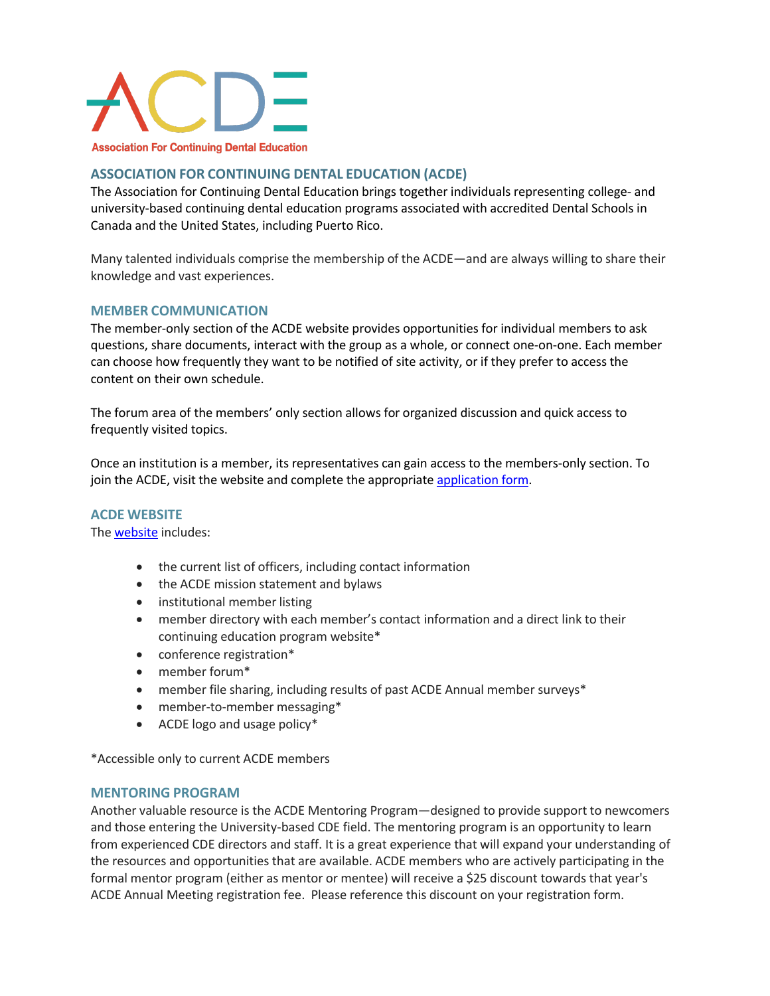

# **ASSOCIATION FOR CONTINUING DENTAL EDUCATION (ACDE)**

The Association for Continuing Dental Education brings together individuals representing college- and university-based continuing dental education programs associated with accredited Dental Schools in Canada and the United States, including Puerto Rico.

Many talented individuals comprise the membership of the ACDE—and are always willing to share their knowledge and vast experiences.

# **MEMBER COMMUNICATION**

The member-only section of the ACDE website provides opportunities for individual members to ask questions, share documents, interact with the group as a whole, or connect one-on-one. Each member can choose how frequently they want to be notified of site activity, or if they prefer to access the content on their own schedule.

The forum area of the members' only section allows for organized discussion and quick access to frequently visited topics.

Once an institution is a member, its representatives can gain access to the members-only section. To join the ACDE, visit the website and complete the appropriate application form.

## **ACDE WEBSITE**

The website includes:

- the current list of officers, including contact information
- the ACDE mission statement and bylaws
- institutional member listing
- member directory with each member's contact information and a direct link to their continuing education program website\*
- conference registration\*
- member forum\*
- member file sharing, including results of past ACDE Annual member surveys\*
- member-to-member messaging\*
- ACDE logo and usage policy\*

\*Accessible only to current ACDE members

#### **MENTORING PROGRAM**

Another valuable resource is the ACDE Mentoring Program—designed to provide support to newcomers and those entering the University-based CDE field. The mentoring program is an opportunity to learn from experienced CDE directors and staff. It is a great experience that will expand your understanding of the resources and opportunities that are available. ACDE members who are actively participating in the formal mentor program (either as mentor or mentee) will receive a \$25 discount towards that year's ACDE Annual Meeting registration fee. Please reference this discount on your registration form.